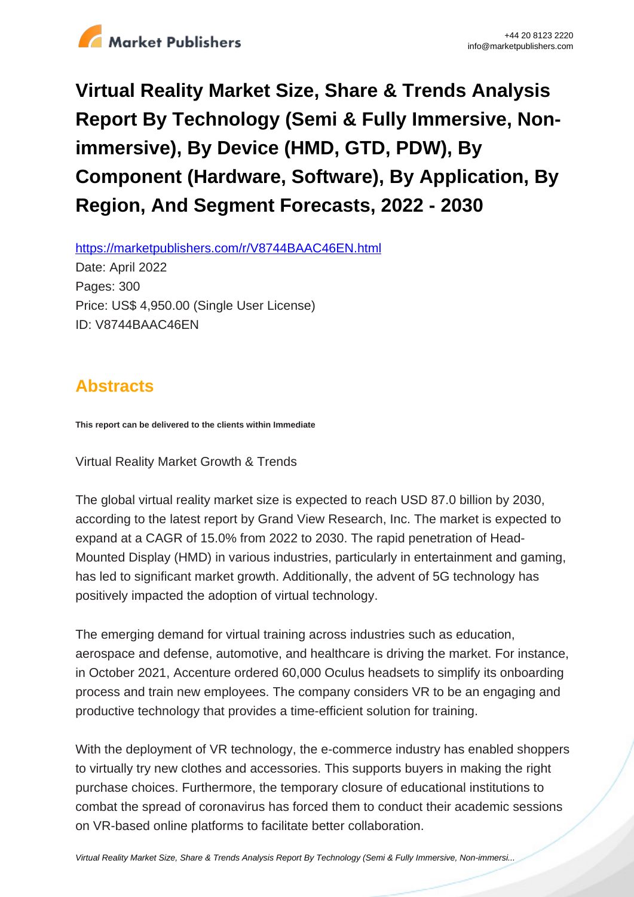

# **Virtual Reality Market Size, Share & Trends Analysis Report By Technology (Semi & Fully Immersive, Nonimmersive), By Device (HMD, GTD, PDW), By Component (Hardware, Software), By Application, By Region, And Segment Forecasts, 2022 - 2030**

https://marketpublishers.com/r/V8744BAAC46EN.html

Date: April 2022 Pages: 300 Price: US\$ 4,950.00 (Single User License) ID: V8744BAAC46EN

# **Abstracts**

**This report can be delivered to the clients within Immediate**

Virtual Reality Market Growth & Trends

The global virtual reality market size is expected to reach USD 87.0 billion by 2030, according to the latest report by Grand View Research, Inc. The market is expected to expand at a CAGR of 15.0% from 2022 to 2030. The rapid penetration of Head-Mounted Display (HMD) in various industries, particularly in entertainment and gaming, has led to significant market growth. Additionally, the advent of 5G technology has positively impacted the adoption of virtual technology.

The emerging demand for virtual training across industries such as education, aerospace and defense, automotive, and healthcare is driving the market. For instance, in October 2021, Accenture ordered 60,000 Oculus headsets to simplify its onboarding process and train new employees. The company considers VR to be an engaging and productive technology that provides a time-efficient solution for training.

With the deployment of VR technology, the e-commerce industry has enabled shoppers to virtually try new clothes and accessories. This supports buyers in making the right purchase choices. Furthermore, the temporary closure of educational institutions to combat the spread of coronavirus has forced them to conduct their academic sessions on VR-based online platforms to facilitate better collaboration.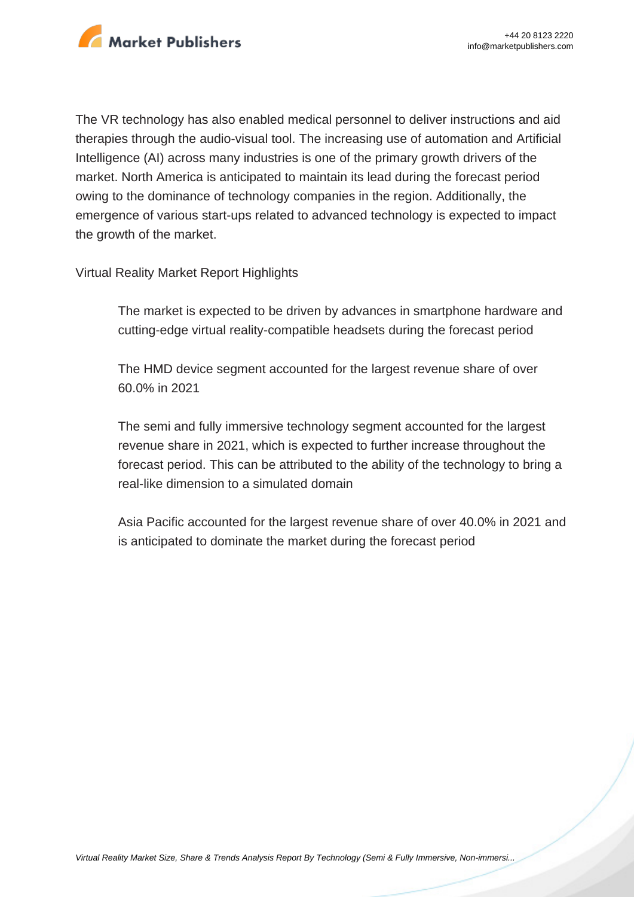

The VR technology has also enabled medical personnel to deliver instructions and aid therapies through the audio-visual tool. The increasing use of automation and Artificial Intelligence (AI) across many industries is one of the primary growth drivers of the market. North America is anticipated to maintain its lead during the forecast period owing to the dominance of technology companies in the region. Additionally, the emergence of various start-ups related to advanced technology is expected to impact the growth of the market.

#### Virtual Reality Market Report Highlights

The market is expected to be driven by advances in smartphone hardware and cutting-edge virtual reality-compatible headsets during the forecast period

The HMD device segment accounted for the largest revenue share of over 60.0% in 2021

The semi and fully immersive technology segment accounted for the largest revenue share in 2021, which is expected to further increase throughout the forecast period. This can be attributed to the ability of the technology to bring a real-like dimension to a simulated domain

Asia Pacific accounted for the largest revenue share of over 40.0% in 2021 and is anticipated to dominate the market during the forecast period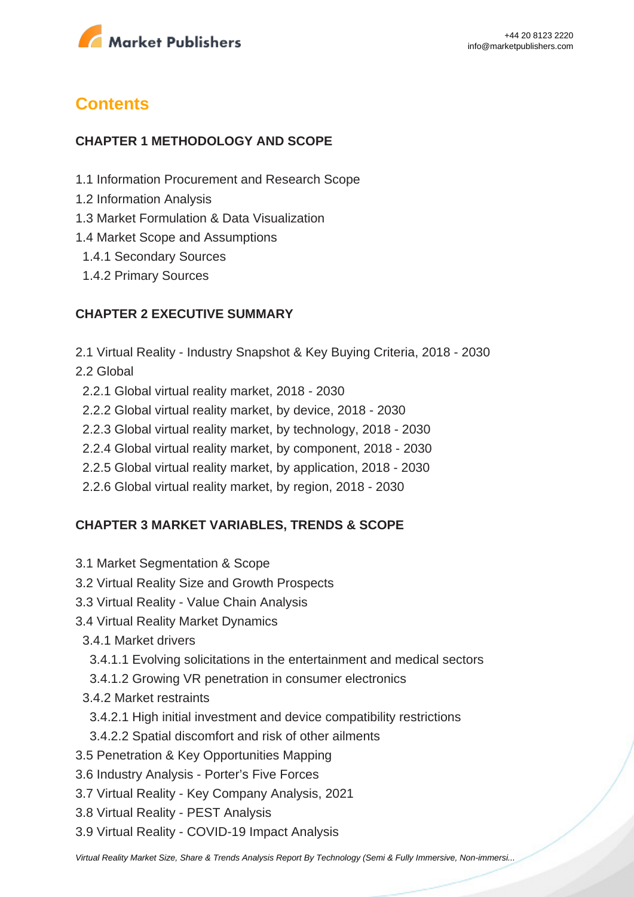

# **Contents**

### **CHAPTER 1 METHODOLOGY AND SCOPE**

- 1.1 Information Procurement and Research Scope
- 1.2 Information Analysis
- 1.3 Market Formulation & Data Visualization
- 1.4 Market Scope and Assumptions
- 1.4.1 Secondary Sources
- 1.4.2 Primary Sources

### **CHAPTER 2 EXECUTIVE SUMMARY**

- 2.1 Virtual Reality Industry Snapshot & Key Buying Criteria, 2018 2030
- 2.2 Global
	- 2.2.1 Global virtual reality market, 2018 2030
	- 2.2.2 Global virtual reality market, by device, 2018 2030
- 2.2.3 Global virtual reality market, by technology, 2018 2030
- 2.2.4 Global virtual reality market, by component, 2018 2030
- 2.2.5 Global virtual reality market, by application, 2018 2030
- 2.2.6 Global virtual reality market, by region, 2018 2030

### **CHAPTER 3 MARKET VARIABLES, TRENDS & SCOPE**

- 3.1 Market Segmentation & Scope
- 3.2 Virtual Reality Size and Growth Prospects
- 3.3 Virtual Reality Value Chain Analysis
- 3.4 Virtual Reality Market Dynamics
	- 3.4.1 Market drivers
	- 3.4.1.1 Evolving solicitations in the entertainment and medical sectors
	- 3.4.1.2 Growing VR penetration in consumer electronics
	- 3.4.2 Market restraints
		- 3.4.2.1 High initial investment and device compatibility restrictions
		- 3.4.2.2 Spatial discomfort and risk of other ailments
- 3.5 Penetration & Key Opportunities Mapping
- 3.6 Industry Analysis Porter's Five Forces
- 3.7 Virtual Reality Key Company Analysis, 2021
- 3.8 Virtual Reality PEST Analysis
- 3.9 Virtual Reality COVID-19 Impact Analysis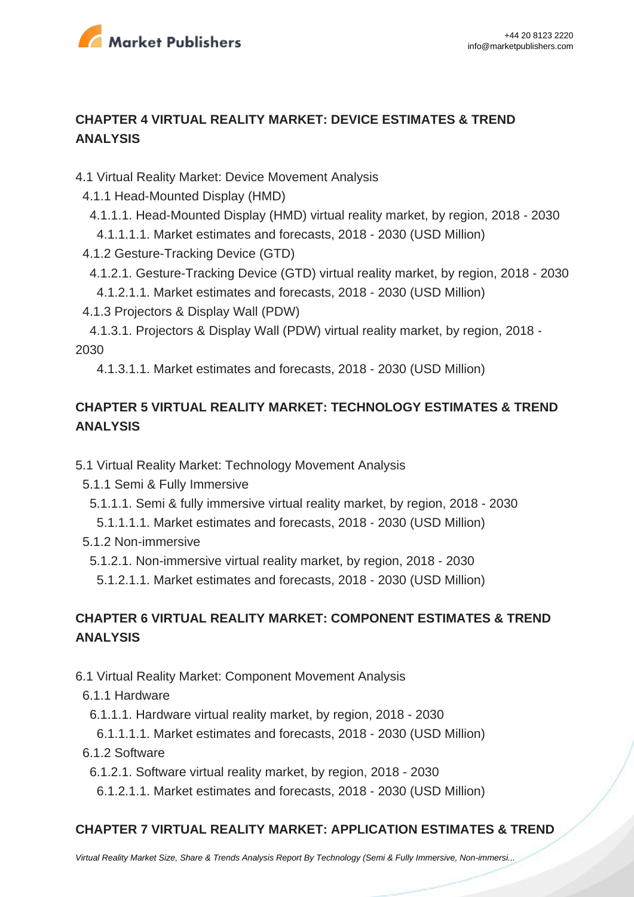

# **CHAPTER 4 VIRTUAL REALITY MARKET: DEVICE ESTIMATES & TREND ANALYSIS**

4.1 Virtual Reality Market: Device Movement Analysis

- 4.1.1 Head-Mounted Display (HMD)
	- 4.1.1.1. Head-Mounted Display (HMD) virtual reality market, by region, 2018 2030

4.1.1.1.1. Market estimates and forecasts, 2018 - 2030 (USD Million)

- 4.1.2 Gesture-Tracking Device (GTD)
- 4.1.2.1. Gesture-Tracking Device (GTD) virtual reality market, by region, 2018 2030
- 4.1.2.1.1. Market estimates and forecasts, 2018 2030 (USD Million)
- 4.1.3 Projectors & Display Wall (PDW)

 4.1.3.1. Projectors & Display Wall (PDW) virtual reality market, by region, 2018 - 2030

4.1.3.1.1. Market estimates and forecasts, 2018 - 2030 (USD Million)

# **CHAPTER 5 VIRTUAL REALITY MARKET: TECHNOLOGY ESTIMATES & TREND ANALYSIS**

- 5.1 Virtual Reality Market: Technology Movement Analysis
	- 5.1.1 Semi & Fully Immersive
	- 5.1.1.1. Semi & fully immersive virtual reality market, by region, 2018 2030
	- 5.1.1.1.1. Market estimates and forecasts, 2018 2030 (USD Million)
	- 5.1.2 Non-immersive

5.1.2.1. Non-immersive virtual reality market, by region, 2018 - 2030

5.1.2.1.1. Market estimates and forecasts, 2018 - 2030 (USD Million)

# **CHAPTER 6 VIRTUAL REALITY MARKET: COMPONENT ESTIMATES & TREND ANALYSIS**

6.1 Virtual Reality Market: Component Movement Analysis

- 6.1.1 Hardware
	- 6.1.1.1. Hardware virtual reality market, by region, 2018 2030
	- 6.1.1.1.1. Market estimates and forecasts, 2018 2030 (USD Million)
- 6.1.2 Software
	- 6.1.2.1. Software virtual reality market, by region, 2018 2030
	- 6.1.2.1.1. Market estimates and forecasts, 2018 2030 (USD Million)

# **CHAPTER 7 VIRTUAL REALITY MARKET: APPLICATION ESTIMATES & TREND**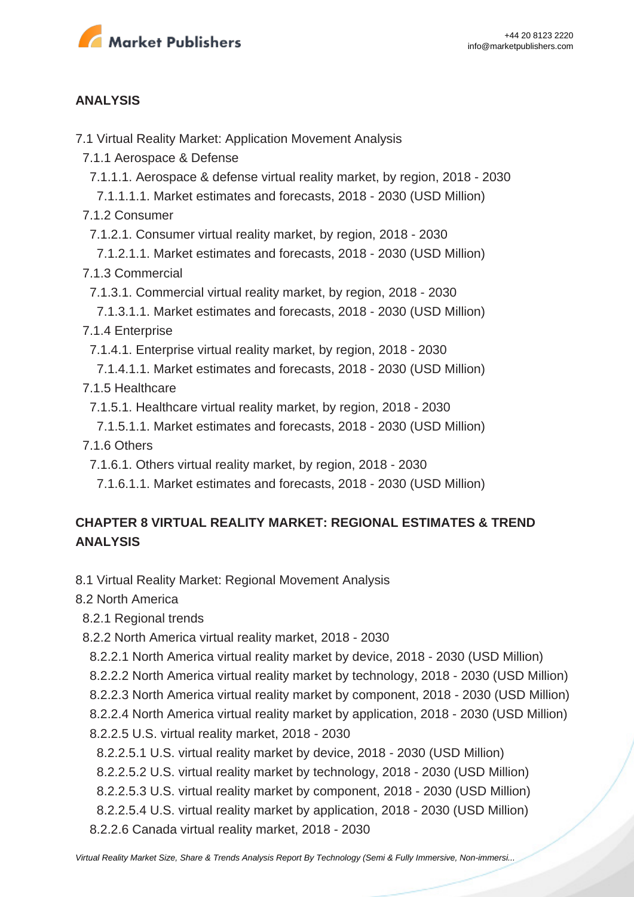

### **ANALYSIS**

7.1 Virtual Reality Market: Application Movement Analysis

7.1.1 Aerospace & Defense

7.1.1.1. Aerospace & defense virtual reality market, by region, 2018 - 2030

 7.1.1.1.1. Market estimates and forecasts, 2018 - 2030 (USD Million) 7.1.2 Consumer

7.1.2.1. Consumer virtual reality market, by region, 2018 - 2030

 7.1.2.1.1. Market estimates and forecasts, 2018 - 2030 (USD Million) 7.1.3 Commercial

7.1.3.1. Commercial virtual reality market, by region, 2018 - 2030

 7.1.3.1.1. Market estimates and forecasts, 2018 - 2030 (USD Million) 7.1.4 Enterprise

7.1.4.1. Enterprise virtual reality market, by region, 2018 - 2030

 7.1.4.1.1. Market estimates and forecasts, 2018 - 2030 (USD Million) 7.1.5 Healthcare

7.1.5.1. Healthcare virtual reality market, by region, 2018 - 2030

 7.1.5.1.1. Market estimates and forecasts, 2018 - 2030 (USD Million) 7.1.6 Others

7.1.6.1. Others virtual reality market, by region, 2018 - 2030

7.1.6.1.1. Market estimates and forecasts, 2018 - 2030 (USD Million)

# **CHAPTER 8 VIRTUAL REALITY MARKET: REGIONAL ESTIMATES & TREND ANALYSIS**

8.1 Virtual Reality Market: Regional Movement Analysis

8.2 North America

- 8.2.1 Regional trends
- 8.2.2 North America virtual reality market, 2018 2030
- 8.2.2.1 North America virtual reality market by device, 2018 2030 (USD Million)
- 8.2.2.2 North America virtual reality market by technology, 2018 2030 (USD Million)
- 8.2.2.3 North America virtual reality market by component, 2018 2030 (USD Million)
- 8.2.2.4 North America virtual reality market by application, 2018 2030 (USD Million)
- 8.2.2.5 U.S. virtual reality market, 2018 2030

8.2.2.5.1 U.S. virtual reality market by device, 2018 - 2030 (USD Million)

8.2.2.5.2 U.S. virtual reality market by technology, 2018 - 2030 (USD Million)

8.2.2.5.3 U.S. virtual reality market by component, 2018 - 2030 (USD Million)

8.2.2.5.4 U.S. virtual reality market by application, 2018 - 2030 (USD Million)

8.2.2.6 Canada virtual reality market, 2018 - 2030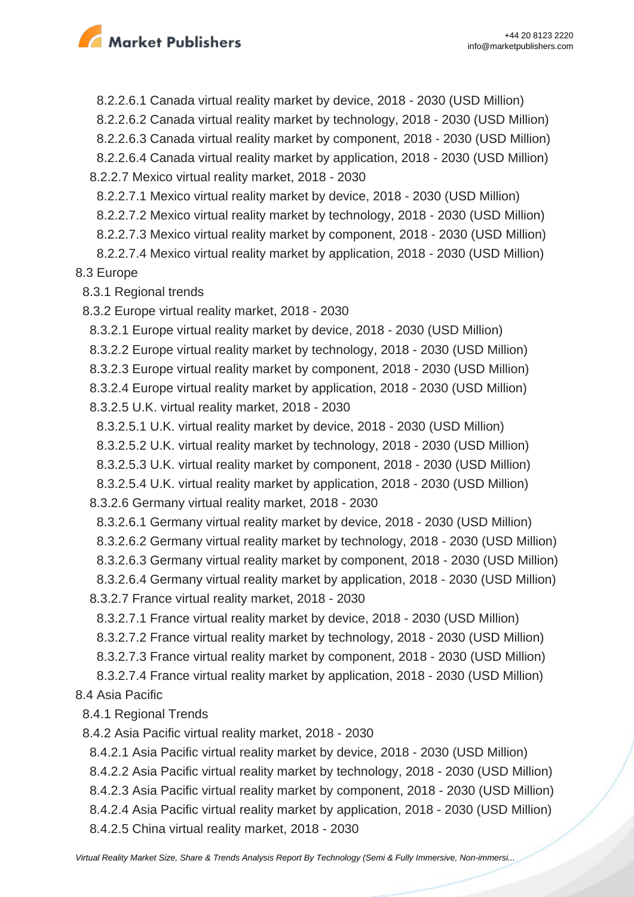

 8.2.2.6.1 Canada virtual reality market by device, 2018 - 2030 (USD Million) 8.2.2.6.2 Canada virtual reality market by technology, 2018 - 2030 (USD Million) 8.2.2.6.3 Canada virtual reality market by component, 2018 - 2030 (USD Million) 8.2.2.6.4 Canada virtual reality market by application, 2018 - 2030 (USD Million) 8.2.2.7 Mexico virtual reality market, 2018 - 2030

8.2.2.7.1 Mexico virtual reality market by device, 2018 - 2030 (USD Million)

8.2.2.7.2 Mexico virtual reality market by technology, 2018 - 2030 (USD Million)

8.2.2.7.3 Mexico virtual reality market by component, 2018 - 2030 (USD Million)

 8.2.2.7.4 Mexico virtual reality market by application, 2018 - 2030 (USD Million) 8.3 Europe

8.3.1 Regional trends

8.3.2 Europe virtual reality market, 2018 - 2030

8.3.2.1 Europe virtual reality market by device, 2018 - 2030 (USD Million)

8.3.2.2 Europe virtual reality market by technology, 2018 - 2030 (USD Million)

8.3.2.3 Europe virtual reality market by component, 2018 - 2030 (USD Million)

 8.3.2.4 Europe virtual reality market by application, 2018 - 2030 (USD Million) 8.3.2.5 U.K. virtual reality market, 2018 - 2030

8.3.2.5.1 U.K. virtual reality market by device, 2018 - 2030 (USD Million)

8.3.2.5.2 U.K. virtual reality market by technology, 2018 - 2030 (USD Million)

8.3.2.5.3 U.K. virtual reality market by component, 2018 - 2030 (USD Million)

8.3.2.5.4 U.K. virtual reality market by application, 2018 - 2030 (USD Million)

8.3.2.6 Germany virtual reality market, 2018 - 2030

 8.3.2.6.1 Germany virtual reality market by device, 2018 - 2030 (USD Million) 8.3.2.6.2 Germany virtual reality market by technology, 2018 - 2030 (USD Million) 8.3.2.6.3 Germany virtual reality market by component, 2018 - 2030 (USD Million) 8.3.2.6.4 Germany virtual reality market by application, 2018 - 2030 (USD Million) 8.3.2.7 France virtual reality market, 2018 - 2030

 8.3.2.7.1 France virtual reality market by device, 2018 - 2030 (USD Million) 8.3.2.7.2 France virtual reality market by technology, 2018 - 2030 (USD Million) 8.3.2.7.3 France virtual reality market by component, 2018 - 2030 (USD Million) 8.3.2.7.4 France virtual reality market by application, 2018 - 2030 (USD Million)

8.4 Asia Pacific

8.4.1 Regional Trends

8.4.2 Asia Pacific virtual reality market, 2018 - 2030

 8.4.2.1 Asia Pacific virtual reality market by device, 2018 - 2030 (USD Million) 8.4.2.2 Asia Pacific virtual reality market by technology, 2018 - 2030 (USD Million) 8.4.2.3 Asia Pacific virtual reality market by component, 2018 - 2030 (USD Million) 8.4.2.4 Asia Pacific virtual reality market by application, 2018 - 2030 (USD Million) 8.4.2.5 China virtual reality market, 2018 - 2030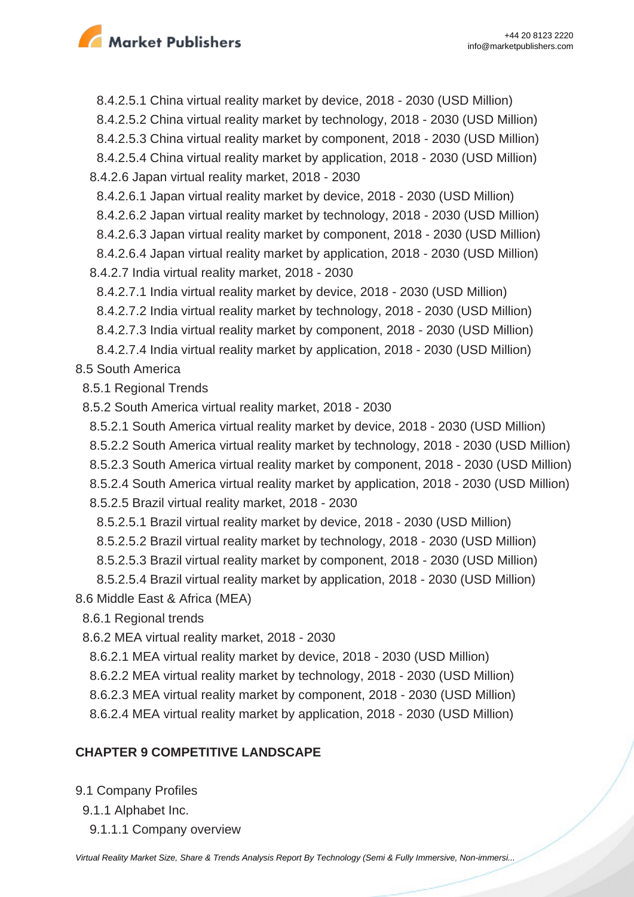

 8.4.2.5.1 China virtual reality market by device, 2018 - 2030 (USD Million) 8.4.2.5.2 China virtual reality market by technology, 2018 - 2030 (USD Million) 8.4.2.5.3 China virtual reality market by component, 2018 - 2030 (USD Million) 8.4.2.5.4 China virtual reality market by application, 2018 - 2030 (USD Million) 8.4.2.6 Japan virtual reality market, 2018 - 2030 8.4.2.6.1 Japan virtual reality market by device, 2018 - 2030 (USD Million) 8.4.2.6.2 Japan virtual reality market by technology, 2018 - 2030 (USD Million) 8.4.2.6.3 Japan virtual reality market by component, 2018 - 2030 (USD Million) 8.4.2.6.4 Japan virtual reality market by application, 2018 - 2030 (USD Million) 8.4.2.7 India virtual reality market, 2018 - 2030 8.4.2.7.1 India virtual reality market by device, 2018 - 2030 (USD Million) 8.4.2.7.2 India virtual reality market by technology, 2018 - 2030 (USD Million) 8.4.2.7.3 India virtual reality market by component, 2018 - 2030 (USD Million) 8.4.2.7.4 India virtual reality market by application, 2018 - 2030 (USD Million) 8.5 South America 8.5.1 Regional Trends 8.5.2 South America virtual reality market, 2018 - 2030 8.5.2.1 South America virtual reality market by device, 2018 - 2030 (USD Million) 8.5.2.2 South America virtual reality market by technology, 2018 - 2030 (USD Million) 8.5.2.3 South America virtual reality market by component, 2018 - 2030 (USD Million) 8.5.2.4 South America virtual reality market by application, 2018 - 2030 (USD Million)

8.5.2.5 Brazil virtual reality market, 2018 - 2030

8.5.2.5.1 Brazil virtual reality market by device, 2018 - 2030 (USD Million)

8.5.2.5.2 Brazil virtual reality market by technology, 2018 - 2030 (USD Million)

8.5.2.5.3 Brazil virtual reality market by component, 2018 - 2030 (USD Million)

 8.5.2.5.4 Brazil virtual reality market by application, 2018 - 2030 (USD Million) 8.6 Middle East & Africa (MEA)

8.6.1 Regional trends

8.6.2 MEA virtual reality market, 2018 - 2030

8.6.2.1 MEA virtual reality market by device, 2018 - 2030 (USD Million)

- 8.6.2.2 MEA virtual reality market by technology, 2018 2030 (USD Million)
- 8.6.2.3 MEA virtual reality market by component, 2018 2030 (USD Million)

8.6.2.4 MEA virtual reality market by application, 2018 - 2030 (USD Million)

### **CHAPTER 9 COMPETITIVE LANDSCAPE**

9.1 Company Profiles

- 9.1.1 Alphabet Inc.
	- 9.1.1.1 Company overview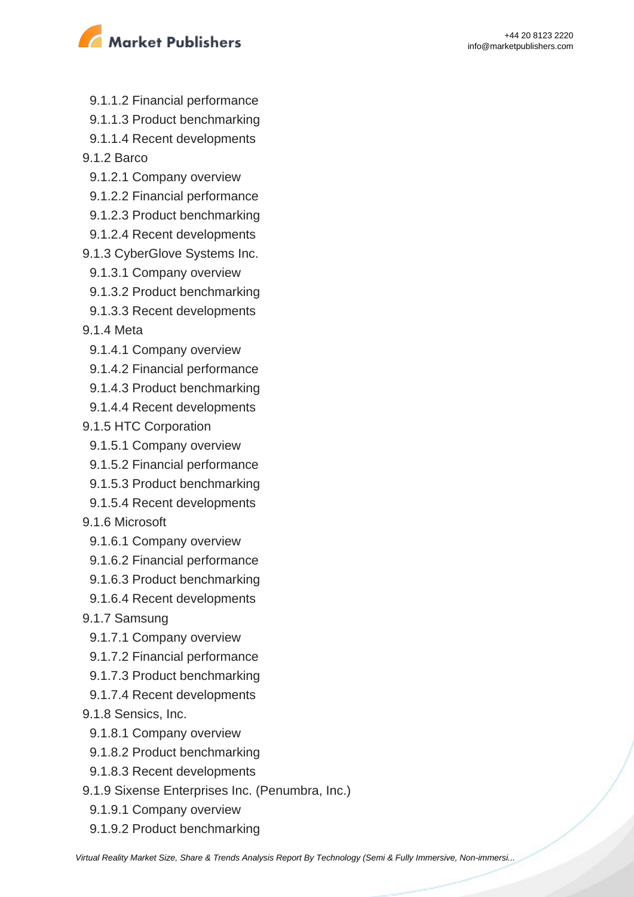

- 9.1.1.2 Financial performance
- 9.1.1.3 Product benchmarking
- 9.1.1.4 Recent developments
- 9.1.2 Barco
	- 9.1.2.1 Company overview
	- 9.1.2.2 Financial performance
- 9.1.2.3 Product benchmarking
- 9.1.2.4 Recent developments
- 9.1.3 CyberGlove Systems Inc.
- 9.1.3.1 Company overview
- 9.1.3.2 Product benchmarking
- 9.1.3.3 Recent developments
- 9.1.4 Meta
- 9.1.4.1 Company overview
- 9.1.4.2 Financial performance
- 9.1.4.3 Product benchmarking
- 9.1.4.4 Recent developments
- 9.1.5 HTC Corporation
	- 9.1.5.1 Company overview
	- 9.1.5.2 Financial performance
	- 9.1.5.3 Product benchmarking
	- 9.1.5.4 Recent developments
- 9.1.6 Microsoft
	- 9.1.6.1 Company overview
- 9.1.6.2 Financial performance
- 9.1.6.3 Product benchmarking
- 9.1.6.4 Recent developments
- 9.1.7 Samsung
- 9.1.7.1 Company overview
- 9.1.7.2 Financial performance
- 9.1.7.3 Product benchmarking
- 9.1.7.4 Recent developments
- 9.1.8 Sensics, Inc.
	- 9.1.8.1 Company overview
- 9.1.8.2 Product benchmarking
- 9.1.8.3 Recent developments
- 9.1.9 Sixense Enterprises Inc. (Penumbra, Inc.)
	- 9.1.9.1 Company overview
- 9.1.9.2 Product benchmarking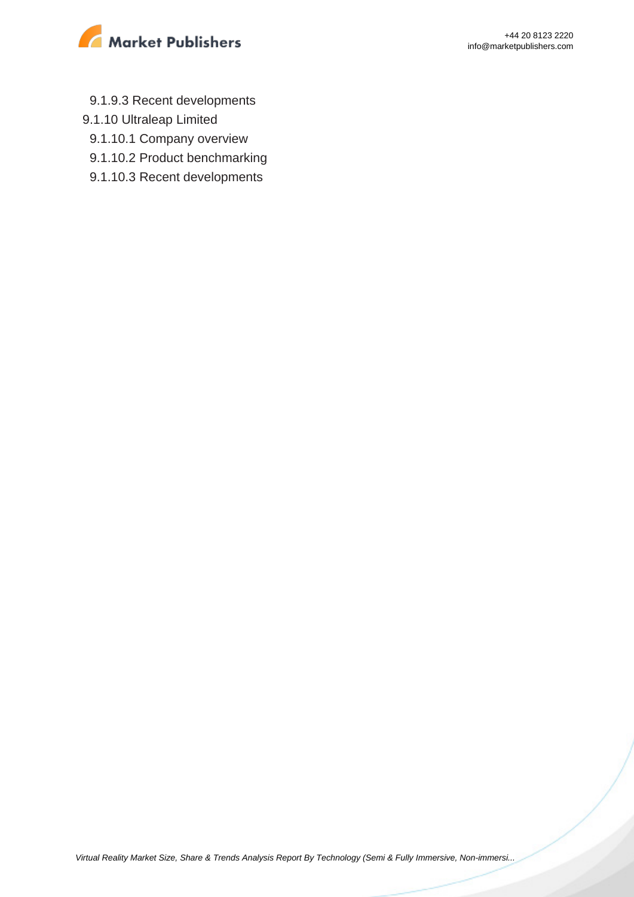

- 9.1.9.3 Recent developments
- 9.1.10 Ultraleap Limited
	- 9.1.10.1 Company overview
	- 9.1.10.2 Product benchmarking
- 9.1.10.3 Recent developments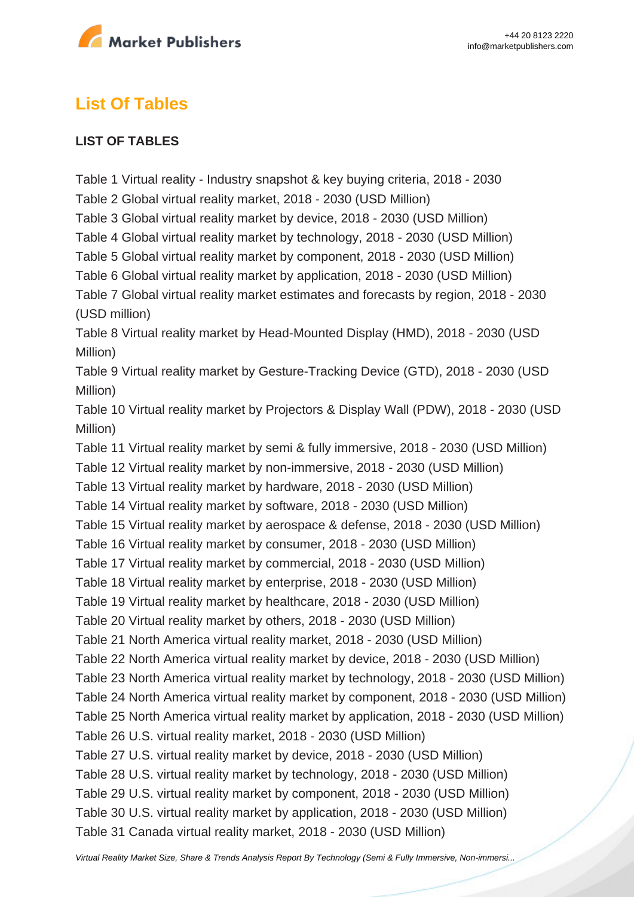

# **List Of Tables**

#### **LIST OF TABLES**

Table 1 Virtual reality - Industry snapshot & key buying criteria, 2018 - 2030 Table 2 Global virtual reality market, 2018 - 2030 (USD Million) Table 3 Global virtual reality market by device, 2018 - 2030 (USD Million) Table 4 Global virtual reality market by technology, 2018 - 2030 (USD Million) Table 5 Global virtual reality market by component, 2018 - 2030 (USD Million) Table 6 Global virtual reality market by application, 2018 - 2030 (USD Million) Table 7 Global virtual reality market estimates and forecasts by region, 2018 - 2030 (USD million) Table 8 Virtual reality market by Head-Mounted Display (HMD), 2018 - 2030 (USD Million) Table 9 Virtual reality market by Gesture-Tracking Device (GTD), 2018 - 2030 (USD Million) Table 10 Virtual reality market by Projectors & Display Wall (PDW), 2018 - 2030 (USD Million) Table 11 Virtual reality market by semi & fully immersive, 2018 - 2030 (USD Million) Table 12 Virtual reality market by non-immersive, 2018 - 2030 (USD Million) Table 13 Virtual reality market by hardware, 2018 - 2030 (USD Million) Table 14 Virtual reality market by software, 2018 - 2030 (USD Million) Table 15 Virtual reality market by aerospace & defense, 2018 - 2030 (USD Million) Table 16 Virtual reality market by consumer, 2018 - 2030 (USD Million) Table 17 Virtual reality market by commercial, 2018 - 2030 (USD Million) Table 18 Virtual reality market by enterprise, 2018 - 2030 (USD Million) Table 19 Virtual reality market by healthcare, 2018 - 2030 (USD Million) Table 20 Virtual reality market by others, 2018 - 2030 (USD Million) Table 21 North America virtual reality market, 2018 - 2030 (USD Million) Table 22 North America virtual reality market by device, 2018 - 2030 (USD Million) Table 23 North America virtual reality market by technology, 2018 - 2030 (USD Million) Table 24 North America virtual reality market by component, 2018 - 2030 (USD Million) Table 25 North America virtual reality market by application, 2018 - 2030 (USD Million) Table 26 U.S. virtual reality market, 2018 - 2030 (USD Million) Table 27 U.S. virtual reality market by device, 2018 - 2030 (USD Million) Table 28 U.S. virtual reality market by technology, 2018 - 2030 (USD Million) Table 29 U.S. virtual reality market by component, 2018 - 2030 (USD Million) Table 30 U.S. virtual reality market by application, 2018 - 2030 (USD Million) Table 31 Canada virtual reality market, 2018 - 2030 (USD Million)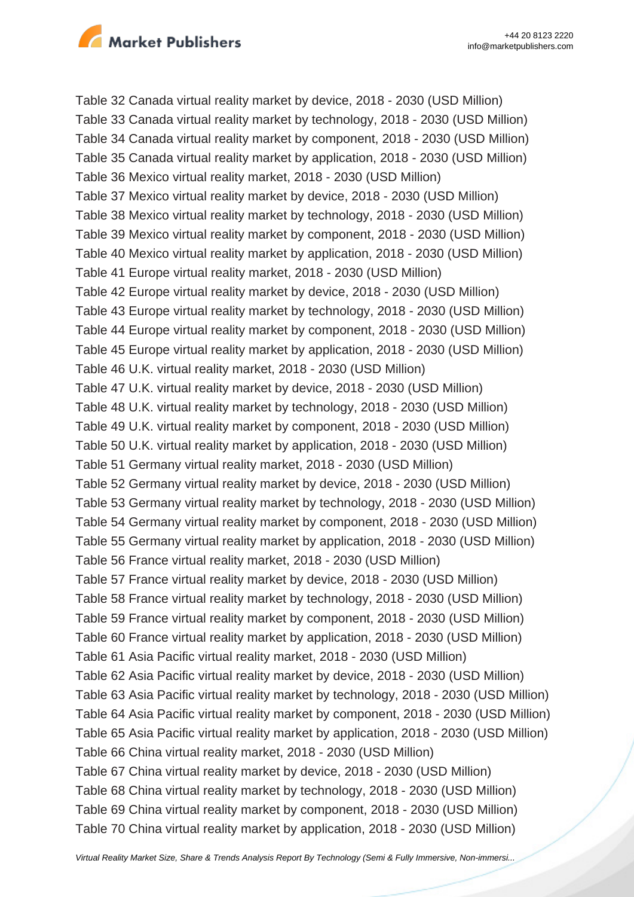

Table 32 Canada virtual reality market by device, 2018 - 2030 (USD Million) Table 33 Canada virtual reality market by technology, 2018 - 2030 (USD Million) Table 34 Canada virtual reality market by component, 2018 - 2030 (USD Million) Table 35 Canada virtual reality market by application, 2018 - 2030 (USD Million) Table 36 Mexico virtual reality market, 2018 - 2030 (USD Million) Table 37 Mexico virtual reality market by device, 2018 - 2030 (USD Million) Table 38 Mexico virtual reality market by technology, 2018 - 2030 (USD Million) Table 39 Mexico virtual reality market by component, 2018 - 2030 (USD Million) Table 40 Mexico virtual reality market by application, 2018 - 2030 (USD Million) Table 41 Europe virtual reality market, 2018 - 2030 (USD Million) Table 42 Europe virtual reality market by device, 2018 - 2030 (USD Million) Table 43 Europe virtual reality market by technology, 2018 - 2030 (USD Million) Table 44 Europe virtual reality market by component, 2018 - 2030 (USD Million) Table 45 Europe virtual reality market by application, 2018 - 2030 (USD Million) Table 46 U.K. virtual reality market, 2018 - 2030 (USD Million) Table 47 U.K. virtual reality market by device, 2018 - 2030 (USD Million) Table 48 U.K. virtual reality market by technology, 2018 - 2030 (USD Million) Table 49 U.K. virtual reality market by component, 2018 - 2030 (USD Million) Table 50 U.K. virtual reality market by application, 2018 - 2030 (USD Million) Table 51 Germany virtual reality market, 2018 - 2030 (USD Million) Table 52 Germany virtual reality market by device, 2018 - 2030 (USD Million) Table 53 Germany virtual reality market by technology, 2018 - 2030 (USD Million) Table 54 Germany virtual reality market by component, 2018 - 2030 (USD Million) Table 55 Germany virtual reality market by application, 2018 - 2030 (USD Million) Table 56 France virtual reality market, 2018 - 2030 (USD Million) Table 57 France virtual reality market by device, 2018 - 2030 (USD Million) Table 58 France virtual reality market by technology, 2018 - 2030 (USD Million) Table 59 France virtual reality market by component, 2018 - 2030 (USD Million) Table 60 France virtual reality market by application, 2018 - 2030 (USD Million) Table 61 Asia Pacific virtual reality market, 2018 - 2030 (USD Million) Table 62 Asia Pacific virtual reality market by device, 2018 - 2030 (USD Million) Table 63 Asia Pacific virtual reality market by technology, 2018 - 2030 (USD Million) Table 64 Asia Pacific virtual reality market by component, 2018 - 2030 (USD Million) Table 65 Asia Pacific virtual reality market by application, 2018 - 2030 (USD Million) Table 66 China virtual reality market, 2018 - 2030 (USD Million) Table 67 China virtual reality market by device, 2018 - 2030 (USD Million) Table 68 China virtual reality market by technology, 2018 - 2030 (USD Million) Table 69 China virtual reality market by component, 2018 - 2030 (USD Million) Table 70 China virtual reality market by application, 2018 - 2030 (USD Million)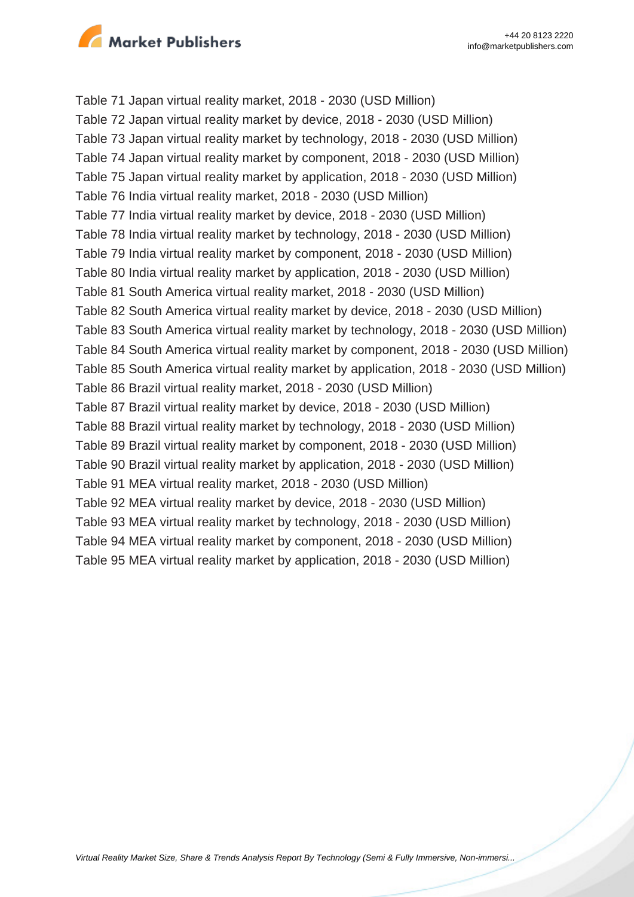

Table 71 Japan virtual reality market, 2018 - 2030 (USD Million) Table 72 Japan virtual reality market by device, 2018 - 2030 (USD Million) Table 73 Japan virtual reality market by technology, 2018 - 2030 (USD Million) Table 74 Japan virtual reality market by component, 2018 - 2030 (USD Million) Table 75 Japan virtual reality market by application, 2018 - 2030 (USD Million) Table 76 India virtual reality market, 2018 - 2030 (USD Million) Table 77 India virtual reality market by device, 2018 - 2030 (USD Million) Table 78 India virtual reality market by technology, 2018 - 2030 (USD Million) Table 79 India virtual reality market by component, 2018 - 2030 (USD Million) Table 80 India virtual reality market by application, 2018 - 2030 (USD Million) Table 81 South America virtual reality market, 2018 - 2030 (USD Million) Table 82 South America virtual reality market by device, 2018 - 2030 (USD Million) Table 83 South America virtual reality market by technology, 2018 - 2030 (USD Million) Table 84 South America virtual reality market by component, 2018 - 2030 (USD Million) Table 85 South America virtual reality market by application, 2018 - 2030 (USD Million) Table 86 Brazil virtual reality market, 2018 - 2030 (USD Million) Table 87 Brazil virtual reality market by device, 2018 - 2030 (USD Million) Table 88 Brazil virtual reality market by technology, 2018 - 2030 (USD Million) Table 89 Brazil virtual reality market by component, 2018 - 2030 (USD Million) Table 90 Brazil virtual reality market by application, 2018 - 2030 (USD Million) Table 91 MEA virtual reality market, 2018 - 2030 (USD Million) Table 92 MEA virtual reality market by device, 2018 - 2030 (USD Million) Table 93 MEA virtual reality market by technology, 2018 - 2030 (USD Million) Table 94 MEA virtual reality market by component, 2018 - 2030 (USD Million) Table 95 MEA virtual reality market by application, 2018 - 2030 (USD Million)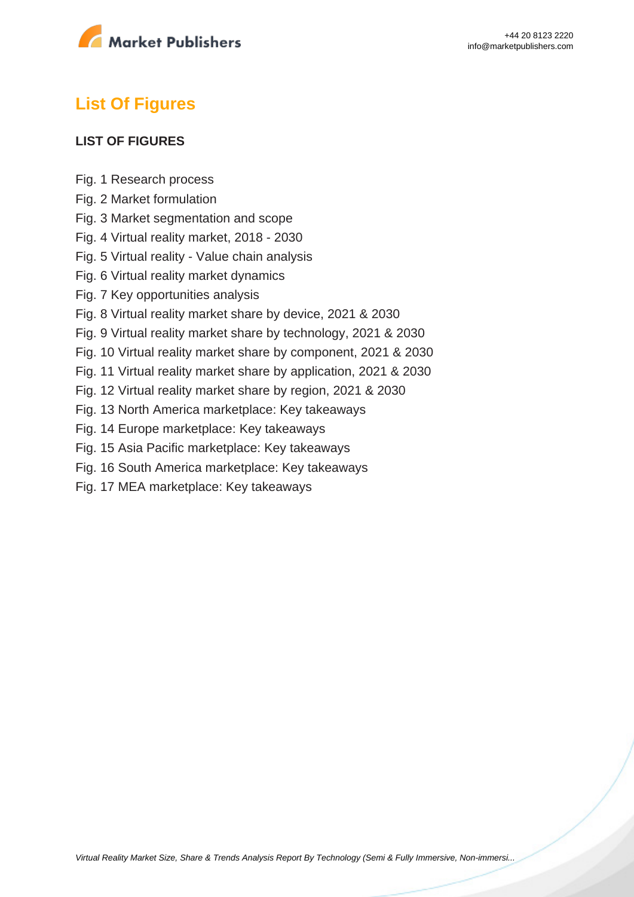

# **List Of Figures**

#### **LIST OF FIGURES**

- Fig. 1 Research process
- Fig. 2 Market formulation
- Fig. 3 Market segmentation and scope
- Fig. 4 Virtual reality market, 2018 2030
- Fig. 5 Virtual reality Value chain analysis
- Fig. 6 Virtual reality market dynamics
- Fig. 7 Key opportunities analysis
- Fig. 8 Virtual reality market share by device, 2021 & 2030
- Fig. 9 Virtual reality market share by technology, 2021 & 2030
- Fig. 10 Virtual reality market share by component, 2021 & 2030
- Fig. 11 Virtual reality market share by application, 2021 & 2030
- Fig. 12 Virtual reality market share by region, 2021 & 2030
- Fig. 13 North America marketplace: Key takeaways
- Fig. 14 Europe marketplace: Key takeaways
- Fig. 15 Asia Pacific marketplace: Key takeaways
- Fig. 16 South America marketplace: Key takeaways
- Fig. 17 MEA marketplace: Key takeaways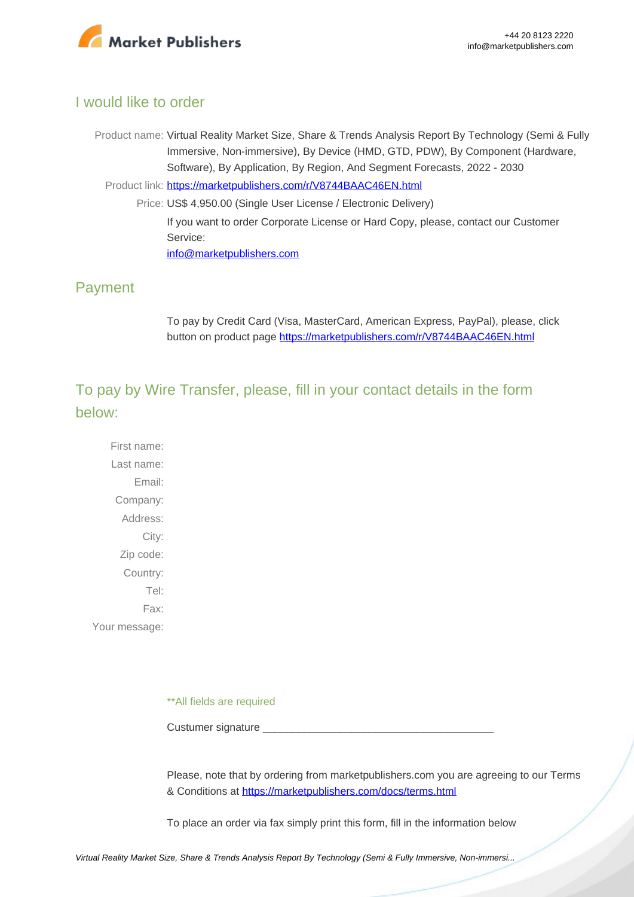

## I would like to order

Product name: Virtual Reality Market Size, Share & Trends Analysis Report By Technology (Semi & Fully Immersive, Non-immersive), By Device (HMD, GTD, PDW), By Component (Hardware, Software), By Application, By Region, And Segment Forecasts, 2022 - 2030

Product link: [https://marketpublishers.com/r/V8744BAAC46EN.html](https://marketpublishers.com/report/software/application_software/virtual-reality-vr-market-analysis-by-device-by-technology-by-component-by-application-aerospace-defense-commercial-consumer-electronics-industrial.html)

Price: US\$ 4,950.00 (Single User License / Electronic Delivery) If you want to order Corporate License or Hard Copy, please, contact our Customer Service: [info@marketpublishers.com](mailto:info@marketpublishers.com)

## Payment

To pay by Credit Card (Visa, MasterCard, American Express, PayPal), please, click button on product page [https://marketpublishers.com/r/V8744BAAC46EN.html](https://marketpublishers.com/report/software/application_software/virtual-reality-vr-market-analysis-by-device-by-technology-by-component-by-application-aerospace-defense-commercial-consumer-electronics-industrial.html)

To pay by Wire Transfer, please, fill in your contact details in the form below:

First name: Last name: Email: Company: Address: City: Zip code: Country: Tel: Fax: Your message:

\*\*All fields are required

Custumer signature \_

Please, note that by ordering from marketpublishers.com you are agreeing to our Terms & Conditions at<https://marketpublishers.com/docs/terms.html>

To place an order via fax simply print this form, fill in the information below